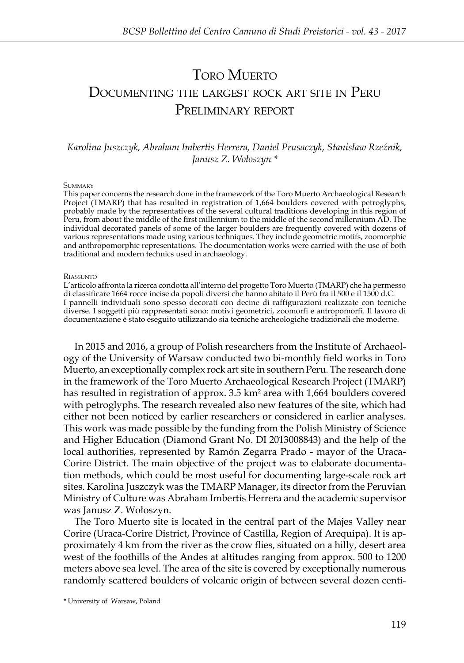# TORO MUERTO Documenting the largest rock art site in Peru Preliminary report

# *Karolina Juszczyk, Abraham Imbertis Herrera, Daniel Prusaczyk, Stanisław Rzeźnik, Janusz Z. Wołoszyn \**

#### **SUMMARY**

This paper concerns the research done in the framework of the Toro Muerto Archaeological Research Project (TMARP) that has resulted in registration of 1,664 boulders covered with petroglyphs, probably made by the representatives of the several cultural traditions developing in this region of Peru, from about the middle of the first millennium to the middle of the second millennium AD. The individual decorated panels of some of the larger boulders are frequently covered with dozens of various representations made using various techniques. They include geometric motifs, zoomorphic and anthropomorphic representations. The documentation works were carried with the use of both traditional and modern technics used in archaeology.

#### **RIASSIMTO**

L'articolo affronta la ricerca condotta all'interno del progetto Toro Muerto (TMARP) che ha permesso di classificare 1664 rocce incise da popoli diversi che hanno abitato il Perù fra il 500 e il 1500 d.C. I pannelli individuali sono spesso decorati con decine di raffigurazioni realizzate con tecniche diverse. I soggetti più rappresentati sono: motivi geometrici, zoomorfi e antropomorfi. Il lavoro di documentazione è stato eseguito utilizzando sia tecniche archeologiche tradizionali che moderne.

In 2015 and 2016, a group of Polish researchers from the Institute of Archaeology of the University of Warsaw conducted two bi-monthly field works in Toro Muerto, an exceptionally complex rock art site in southern Peru. The research done in the framework of the Toro Muerto Archaeological Research Project (TMARP) has resulted in registration of approx. 3.5 km² area with 1,664 boulders covered with petroglyphs. The research revealed also new features of the site, which had either not been noticed by earlier researchers or considered in earlier analyses. This work was made possible by the funding from the Polish Ministry of Science and Higher Education (Diamond Grant No. DI 2013008843) and the help of the local authorities, represented by Ramón Zegarra Prado - mayor of the Uraca-Corire District. The main objective of the project was to elaborate documentation methods, which could be most useful for documenting large-scale rock art sites. Karolina Juszczyk was the TMARP Manager, its director from the Peruvian Ministry of Culture was Abraham Imbertis Herrera and the academic supervisor was Janusz Z. Wołoszyn.

The Toro Muerto site is located in the central part of the Majes Valley near Corire (Uraca-Corire District, Province of Castilla, Region of Arequipa). It is approximately 4 km from the river as the crow flies, situated on a hilly, desert area west of the foothills of the Andes at altitudes ranging from approx. 500 to 1200 meters above sea level. The area of the site is covered by exceptionally numerous randomly scattered boulders of volcanic origin of between several dozen centi-

\* University of Warsaw, Poland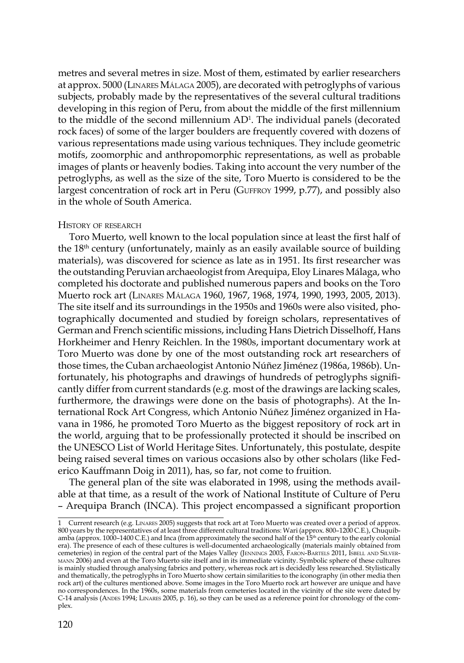metres and several metres in size. Most of them, estimated by earlier researchers at approx. 5000 (Linares Málaga 2005), are decorated with petroglyphs of various subjects, probably made by the representatives of the several cultural traditions developing in this region of Peru, from about the middle of the first millennium to the middle of the second millennium  $AD^1$ . The individual panels (decorated rock faces) of some of the larger boulders are frequently covered with dozens of various representations made using various techniques. They include geometric motifs, zoomorphic and anthropomorphic representations, as well as probable images of plants or heavenly bodies. Taking into account the very number of the petroglyphs, as well as the size of the site, Toro Muerto is considered to be the largest concentration of rock art in Peru (GUFFROY 1999, p.77), and possibly also in the whole of South America.

# History of research

Toro Muerto, well known to the local population since at least the first half of the 18th century (unfortunately, mainly as an easily available source of building materials), was discovered for science as late as in 1951. Its first researcher was the outstanding Peruvian archaeologist from Arequipa, Eloy Linares Málaga, who completed his doctorate and published numerous papers and books on the Toro Muerto rock art (Linares Málaga 1960, 1967, 1968, 1974, 1990, 1993, 2005, 2013). The site itself and its surroundings in the 1950s and 1960s were also visited, photographically documented and studied by foreign scholars, representatives of German and French scientific missions, including Hans Dietrich Disselhoff, Hans Horkheimer and Henry Reichlen. In the 1980s, important documentary work at Toro Muerto was done by one of the most outstanding rock art researchers of those times, the Cuban archaeologist Antonio Núñez Jiménez (1986a, 1986b). Unfortunately, his photographs and drawings of hundreds of petroglyphs significantly differ from current standards (e.g. most of the drawings are lacking scales, furthermore, the drawings were done on the basis of photographs). At the International Rock Art Congress, which Antonio Núñez Jiménez organized in Havana in 1986, he promoted Toro Muerto as the biggest repository of rock art in the world, arguing that to be professionally protected it should be inscribed on the UNESCO List of World Heritage Sites. Unfortunately, this postulate, despite being raised several times on various occasions also by other scholars (like Federico Kauffmann Doig in 2011), has, so far, not come to fruition.

The general plan of the site was elaborated in 1998, using the methods available at that time, as a result of the work of National Institute of Culture of Peru – Arequipa Branch (INCA). This project encompassed a significant proportion

<sup>1</sup> Current research (e.g. Linares 2005) suggests that rock art at Toro Muerto was created over a period of approx. 800 years by the representatives of at least three different cultural traditions: Wari (approx. 800–1200 C.E.), Chuquib-<br>amba (approx. 1000–1400 C.E.) and Inca (from approximately the second half of the 15<sup>th</sup> century to mann 2006) and even at the Toro Muerto site itself and in its immediate vicinity. Symbolic sphere of these cultures is mainly studied through analysing fabrics and pottery, whereas rock art is decidedly less researched. Stylistically and thematically, the petroglyphs in Toro Muerto show certain similarities to the iconography (in other media then rock art) of the cultures mentioned above. Some images in the Toro Muerto rock art however are unique and have no correspondences. In the 1960s, some materials from cemeteries located in the vicinity of the site were dated by C-14 analysis (Andes 1994; Linares 2005, p. 16), so they can be used as a reference point for chronology of the complex.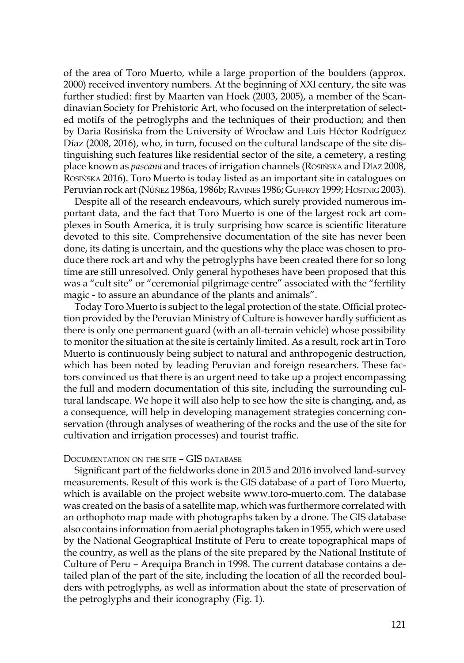of the area of Toro Muerto, while a large proportion of the boulders (approx. 2000) received inventory numbers. At the beginning of XXI century, the site was further studied: first by Maarten van Hoek (2003, 2005), a member of the Scandinavian Society for Prehistoric Art, who focused on the interpretation of selected motifs of the petroglyphs and the techniques of their production; and then by Daria Rosińska from the University of Wrocław and Luis Héctor Rodríguez Díaz (2008, 2016), who, in turn, focused on the cultural landscape of the site distinguishing such features like residential sector of the site, a cemetery, a resting place known as *pascana* and traces of irrigation channels (Rosińska and Díaz 2008, Rosińska 2016). Toro Muerto is today listed as an important site in catalogues on Peruvian rock art (Núñez 1986a, 1986b; Ravines 1986; Guffroy 1999; Hostnig 2003).

Despite all of the research endeavours, which surely provided numerous important data, and the fact that Toro Muerto is one of the largest rock art complexes in South America, it is truly surprising how scarce is scientific literature devoted to this site. Comprehensive documentation of the site has never been done, its dating is uncertain, and the questions why the place was chosen to produce there rock art and why the petroglyphs have been created there for so long time are still unresolved. Only general hypotheses have been proposed that this was a "cult site" or "ceremonial pilgrimage centre" associated with the "fertility magic - to assure an abundance of the plants and animals".

Today Toro Muerto is subject to the legal protection of the state. Official protection provided by the Peruvian Ministry of Culture is however hardly sufficient as there is only one permanent guard (with an all-terrain vehicle) whose possibility to monitor the situation at the site is certainly limited. As a result, rock art in Toro Muerto is continuously being subject to natural and anthropogenic destruction, which has been noted by leading Peruvian and foreign researchers. These factors convinced us that there is an urgent need to take up a project encompassing the full and modern documentation of this site, including the surrounding cultural landscape. We hope it will also help to see how the site is changing, and, as a consequence, will help in developing management strategies concerning conservation (through analyses of weathering of the rocks and the use of the site for cultivation and irrigation processes) and tourist traffic.

## Documentation on the site – GIS database

Significant part of the fieldworks done in 2015 and 2016 involved land-survey measurements. Result of this work is the GIS database of a part of Toro Muerto, which is available on the project website www.toro-muerto.com. The database was created on the basis of a satellite map, which was furthermore correlated with an orthophoto map made with photographs taken by a drone. The GIS database also contains information from aerial photographs taken in 1955, which were used by the National Geographical Institute of Peru to create topographical maps of the country, as well as the plans of the site prepared by the National Institute of Culture of Peru – Arequipa Branch in 1998. The current database contains a detailed plan of the part of the site, including the location of all the recorded boulders with petroglyphs, as well as information about the state of preservation of the petroglyphs and their iconography (Fig. 1).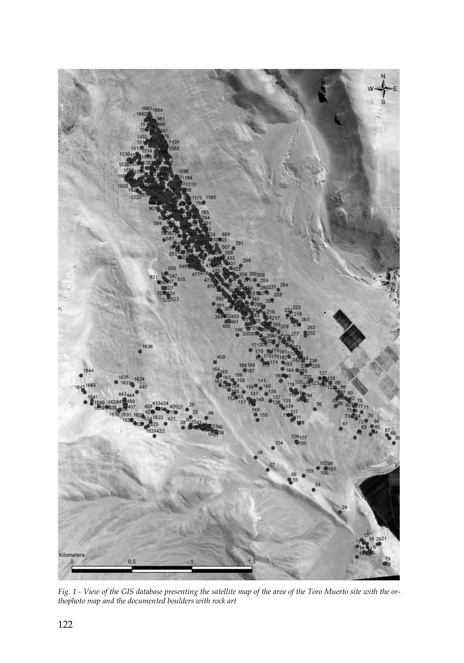

*Fig. 1 - View of the GIS database presenting the satellite map of the area of the Toro Muerto site with the orthophoto map and the documented boulders with rock art*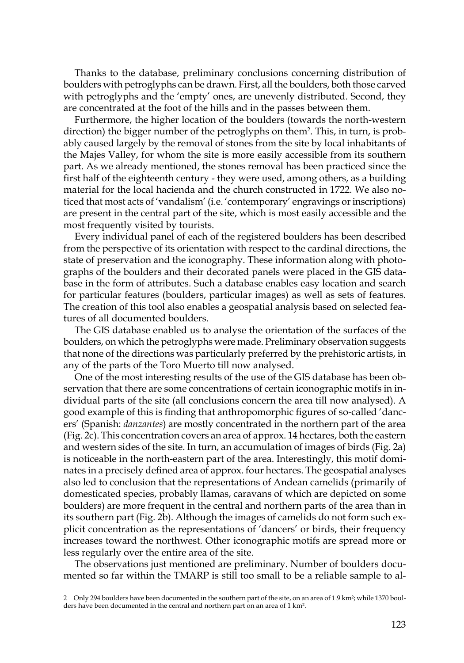Thanks to the database, preliminary conclusions concerning distribution of boulders with petroglyphs can be drawn. First, all the boulders, both those carved with petroglyphs and the 'empty' ones, are unevenly distributed. Second, they are concentrated at the foot of the hills and in the passes between them.

Furthermore, the higher location of the boulders (towards the north-western direction) the bigger number of the petroglyphs on them<sup>2</sup>. This, in turn, is probably caused largely by the removal of stones from the site by local inhabitants of the Majes Valley, for whom the site is more easily accessible from its southern part. As we already mentioned, the stones removal has been practiced since the first half of the eighteenth century - they were used, among others, as a building material for the local hacienda and the church constructed in 1722. We also noticed that most acts of 'vandalism' (i.e. 'contemporary' engravings or inscriptions) are present in the central part of the site, which is most easily accessible and the most frequently visited by tourists.

Every individual panel of each of the registered boulders has been described from the perspective of its orientation with respect to the cardinal directions, the state of preservation and the iconography. These information along with photographs of the boulders and their decorated panels were placed in the GIS database in the form of attributes. Such a database enables easy location and search for particular features (boulders, particular images) as well as sets of features. The creation of this tool also enables a geospatial analysis based on selected features of all documented boulders.

The GIS database enabled us to analyse the orientation of the surfaces of the boulders, on which the petroglyphs were made. Preliminary observation suggests that none of the directions was particularly preferred by the prehistoric artists, in any of the parts of the Toro Muerto till now analysed.

One of the most interesting results of the use of the GIS database has been observation that there are some concentrations of certain iconographic motifs in individual parts of the site (all conclusions concern the area till now analysed). A good example of this is finding that anthropomorphic figures of so-called 'dancers' (Spanish: *danzantes*) are mostly concentrated in the northern part of the area (Fig. 2c). This concentration covers an area of approx. 14 hectares, both the eastern and western sides of the site. In turn, an accumulation of images of birds (Fig. 2a) is noticeable in the north-eastern part of the area. Interestingly, this motif dominates in a precisely defined area of approx. four hectares. The geospatial analyses also led to conclusion that the representations of Andean camelids (primarily of domesticated species, probably llamas, caravans of which are depicted on some boulders) are more frequent in the central and northern parts of the area than in its southern part (Fig. 2b). Although the images of camelids do not form such explicit concentration as the representations of 'dancers' or birds, their frequency increases toward the northwest. Other iconographic motifs are spread more or less regularly over the entire area of the site.

The observations just mentioned are preliminary. Number of boulders documented so far within the TMARP is still too small to be a reliable sample to al-

<sup>2</sup> Only 294 boulders have been documented in the southern part of the site, on an area of 1.9 km²; while 1370 boulders have been documented in the central and northern part on an area of 1 km<sup>2</sup>.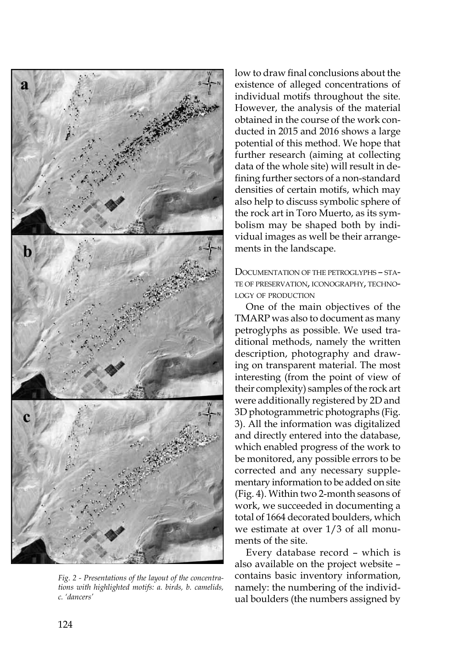

*Fig. 2 - Presentations of the layout of the concentrations with highlighted motifs: a. birds, b. camelids, c. 'dancers'*

low to draw final conclusions about the existence of alleged concentrations of individual motifs throughout the site. However, the analysis of the material obtained in the course of the work conducted in 2015 and 2016 shows a large potential of this method. We hope that further research (aiming at collecting data of the whole site) will result in defining further sectors of a non-standard densities of certain motifs, which may also help to discuss symbolic sphere of the rock art in Toro Muerto, as its symbolism may be shaped both by individual images as well be their arrangements in the landscape.

Documentation of the petroglyphs – state of preservation, iconography, technology of production

One of the main objectives of the TMARP was also to document as many petroglyphs as possible. We used traditional methods, namely the written description, photography and drawing on transparent material. The most interesting (from the point of view of their complexity) samples of the rock art were additionally registered by 2D and 3D photogrammetric photographs (Fig. 3). All the information was digitalized and directly entered into the database, which enabled progress of the work to be monitored, any possible errors to be corrected and any necessary supplementary information to be added on site (Fig. 4). Within two 2-month seasons of work, we succeeded in documenting a total of 1664 decorated boulders, which we estimate at over 1/3 of all monuments of the site.

Every database record – which is also available on the project website – contains basic inventory information, namely: the numbering of the individual boulders (the numbers assigned by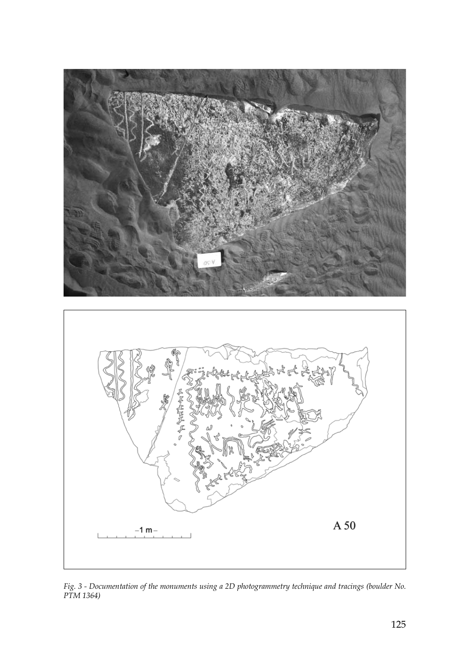

*Fig. 3 - Documentation of the monuments using a 2D photogrammetry technique and tracings (boulder No. PTM 1364)*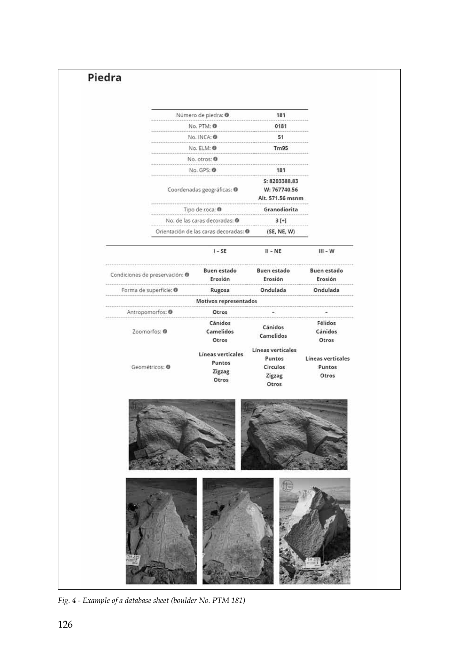|                                | Número de piedra: @                                                    | 181                           |                               |
|--------------------------------|------------------------------------------------------------------------|-------------------------------|-------------------------------|
|                                | No. PTM: ®                                                             | 0181<br>51                    |                               |
|                                | No. INCA: 0                                                            |                               |                               |
|                                | No. ELM: @<br>No. otros: 0<br>No. GPS: ®<br>Coordenadas geográficas: ® |                               |                               |
|                                |                                                                        |                               |                               |
|                                |                                                                        |                               |                               |
|                                |                                                                        |                               | Alt. 571.56 msnm              |
|                                | Tipo de roca: O                                                        | Granodiorita<br>$3[+]$        |                               |
|                                | No. de las caras decoradas: 0                                          |                               |                               |
|                                | Orientación de las caras decoradas: @                                  | (SE, NE, W)                   |                               |
|                                | $1 - SE$                                                               | $II - NE$                     | $III - W$                     |
| Condiciones de preservación: O | <b>Buen estado</b><br>Erosión                                          | <b>Buen estado</b><br>Erosión | <b>Buen estado</b><br>Erosión |
| Forma de superficie: @         | Rugosa                                                                 | iii<br>Ondulada               | Ondulada                      |
|                                | Motivos representados                                                  |                               |                               |
| Antropomorfos: <sup>0</sup>    | Otros                                                                  |                               |                               |
|                                | Cánidos                                                                | Cánidos                       | Félidos                       |
| Zoomorfos: @                   | Camelidos<br>Otros                                                     | Camelidos                     | Cánidos<br>Otros              |
|                                | Líneas verticales                                                      | Lineas verticales             |                               |
|                                | Puntos                                                                 | Puntos                        | Líneas verticales             |
| Geométricos: O                 | Zigzag<br>Otros                                                        | Circulos<br>Zigzag<br>Otros   | Puntos<br>Otros               |
|                                |                                                                        |                               |                               |
|                                |                                                                        |                               |                               |

*Fig. 4 - Example of a database sheet (boulder No. PTM 181)*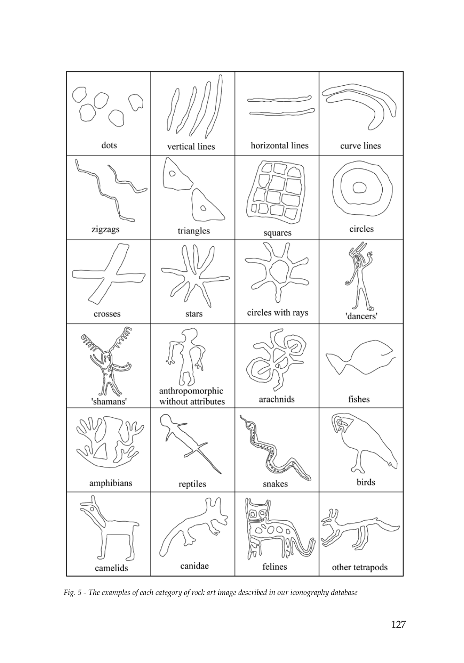

*Fig. 5 - The examples of each category of rock art image described in our iconography database*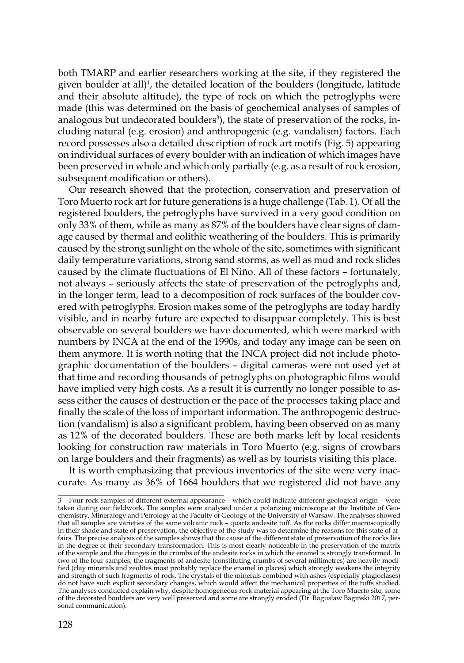both TMARP and earlier researchers working at the site, if they registered the given boulder at all)<sup>1</sup>, the detailed location of the boulders (longitude, latitude and their absolute altitude), the type of rock on which the petroglyphs were made (this was determined on the basis of geochemical analyses of samples of analogous but undecorated boulders<sup>3</sup>), the state of preservation of the rocks, including natural (e.g. erosion) and anthropogenic (e.g. vandalism) factors. Each record possesses also a detailed description of rock art motifs (Fig. 5) appearing on individual surfaces of every boulder with an indication of which images have been preserved in whole and which only partially (e.g. as a result of rock erosion, subsequent modification or others).

Our research showed that the protection, conservation and preservation of Toro Muerto rock art for future generations is a huge challenge (Tab. 1). Of all the registered boulders, the petroglyphs have survived in a very good condition on only 33% of them, while as many as 87% of the boulders have clear signs of damage caused by thermal and eolithic weathering of the boulders. This is primarily caused by the strong sunlight on the whole of the site, sometimes with significant daily temperature variations, strong sand storms, as well as mud and rock slides caused by the climate fluctuations of El Niño. All of these factors – fortunately, not always – seriously affects the state of preservation of the petroglyphs and, in the longer term, lead to a decomposition of rock surfaces of the boulder covered with petroglyphs. Erosion makes some of the petroglyphs are today hardly visible, and in nearby future are expected to disappear completely. This is best observable on several boulders we have documented, which were marked with numbers by INCA at the end of the 1990s, and today any image can be seen on them anymore. It is worth noting that the INCA project did not include photographic documentation of the boulders – digital cameras were not used yet at that time and recording thousands of petroglyphs on photographic films would have implied very high costs. As a result it is currently no longer possible to assess either the causes of destruction or the pace of the processes taking place and finally the scale of the loss of important information. The anthropogenic destruction (vandalism) is also a significant problem, having been observed on as many as 12% of the decorated boulders. These are both marks left by local residents looking for construction raw materials in Toro Muerto (e.g. signs of crowbars on large boulders and their fragments) as well as by tourists visiting this place.

It is worth emphasizing that previous inventories of the site were very inaccurate. As many as 36% of 1664 boulders that we registered did not have any

<sup>3</sup> Four rock samples of different external appearance – which could indicate different geological origin – were taken during our fieldwork. The samples were analysed under a polarizing microscope at the Institute of Geo-chemistry, Mineralogy and Petrology at the Faculty of Geology of the University of Warsaw. The analyses showed that all samples are varieties of the same volcanic rock – quartz andesite tuff. As the rocks differ macroscopically in their shade and state of preservation, the objective of the study was to determine the reasons for this state of affairs. The precise analysis of the samples shows that the cause of the different state of preservation of the rocks lies in the degree of their secondary transformation. This is most clearly noticeable in the preservation of the matrix of the sample and the changes in the crumbs of the andesite rocks in which the enamel is strongly transformed. In two of the four samples, the fragments of andesite (constituting crumbs of several millimetres) are heavily modified (clay minerals and zeolites most probably replace the enamel in places) which strongly weakens the integrity<br>and strength of such fragments of rock. The crystals of the minerals combined with ashes (especially plagioc do not have such explicit secondary changes, which would affect the mechanical properties of the tuffs studied.<br>The analyses conducted explain why, despite homogeneous rock material appearing at the Toro Muerto site, some<br> sonal communication).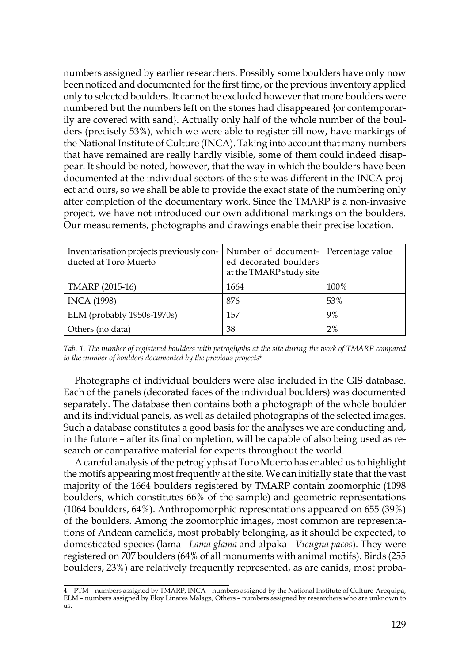numbers assigned by earlier researchers. Possibly some boulders have only now been noticed and documented for the first time, or the previous inventory applied only to selected boulders. It cannot be excluded however that more boulders were numbered but the numbers left on the stones had disappeared {or contemporarily are covered with sand}. Actually only half of the whole number of the boulders (precisely 53%), which we were able to register till now, have markings of the National Institute of Culture (INCA). Taking into account that many numbers that have remained are really hardly visible, some of them could indeed disappear. It should be noted, however, that the way in which the boulders have been documented at the individual sectors of the site was different in the INCA project and ours, so we shall be able to provide the exact state of the numbering only after completion of the documentary work. Since the TMARP is a non-invasive project, we have not introduced our own additional markings on the boulders. Our measurements, photographs and drawings enable their precise location.

| Inventarisation projects previously con-   Number of document-   Percentage value<br>ducted at Toro Muerto | ed decorated boulders<br>at the TMARP study site |      |
|------------------------------------------------------------------------------------------------------------|--------------------------------------------------|------|
| TMARP (2015-16)                                                                                            | 1664                                             | 100% |
| <b>INCA</b> (1998)                                                                                         | 876                                              | 53%  |
| ELM (probably 1950s-1970s)                                                                                 | 157                                              | 9%   |
| Others (no data)                                                                                           | 38                                               | 2%   |

*Tab. 1. The number of registered boulders with petroglyphs at the site during the work of TMARP compared to the number of boulders documented by the previous projects4*

Photographs of individual boulders were also included in the GIS database. Each of the panels (decorated faces of the individual boulders) was documented separately. The database then contains both a photograph of the whole boulder and its individual panels, as well as detailed photographs of the selected images. Such a database constitutes a good basis for the analyses we are conducting and, in the future – after its final completion, will be capable of also being used as research or comparative material for experts throughout the world.

A careful analysis of the petroglyphs at Toro Muerto has enabled us to highlight the motifs appearing most frequently at the site. We can initially state that the vast majority of the 1664 boulders registered by TMARP contain zoomorphic (1098 boulders, which constitutes 66% of the sample) and geometric representations (1064 boulders, 64%). Anthropomorphic representations appeared on 655 (39%) of the boulders. Among the zoomorphic images, most common are representations of Andean camelids, most probably belonging, as it should be expected, to domesticated species (lama - *Lama glama* and alpaka - *Vicugna pacos*). They were registered on 707 boulders (64% of all monuments with animal motifs). Birds (255 boulders, 23%) are relatively frequently represented, as are canids, most proba-

<sup>4</sup> PTM – numbers assigned by TMARP, INCA – numbers assigned by the National Institute of Culture-Arequipa, ELM – numbers assigned by Eloy Linares Malaga, Others – numbers assigned by researchers who are unknown to **119**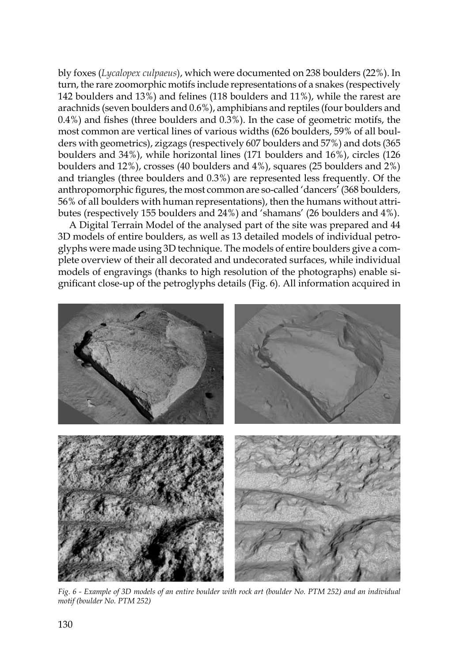bly foxes (*Lycalopex culpaeus*), which were documented on 238 boulders (22%). In turn, the rare zoomorphic motifs include representations of a snakes (respectively 142 boulders and 13%) and felines (118 boulders and 11%), while the rarest are arachnids (seven boulders and 0.6%), amphibians and reptiles (four boulders and 0.4%) and fishes (three boulders and 0.3%). In the case of geometric motifs, the most common are vertical lines of various widths (626 boulders, 59% of all boulders with geometrics), zigzags (respectively 607 boulders and 57%) and dots (365 boulders and 34%), while horizontal lines (171 boulders and 16%), circles (126 boulders and 12%), crosses (40 boulders and 4%), squares (25 boulders and 2%) and triangles (three boulders and 0.3%) are represented less frequently. Of the anthropomorphic figures, the most common are so-called 'dancers' (368 boulders, 56% of all boulders with human representations), then the humans without attributes (respectively 155 boulders and 24%) and 'shamans' (26 boulders and 4%).

A Digital Terrain Model of the analysed part of the site was prepared and 44 3D models of entire boulders, as well as 13 detailed models of individual petroglyphs were made using 3D technique. The models of entire boulders give a complete overview of their all decorated and undecorated surfaces, while individual models of engravings (thanks to high resolution of the photographs) enable significant close-up of the petroglyphs details (Fig. 6). All information acquired in



*Fig. 6 - Example of 3D models of an entire boulder with rock art (boulder No. PTM 252) and an individual motif (boulder No. PTM 252)*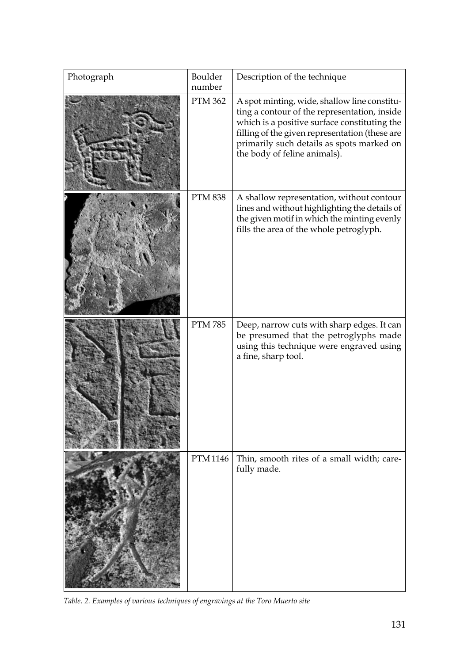| Photograph | Boulder<br>number | Description of the technique                                                                                                                                                                                                                                                |
|------------|-------------------|-----------------------------------------------------------------------------------------------------------------------------------------------------------------------------------------------------------------------------------------------------------------------------|
|            | <b>PTM 362</b>    | A spot minting, wide, shallow line constitu-<br>ting a contour of the representation, inside<br>which is a positive surface constituting the<br>filling of the given representation (these are<br>primarily such details as spots marked on<br>the body of feline animals). |
|            | <b>PTM 838</b>    | A shallow representation, without contour<br>lines and without highlighting the details of<br>the given motif in which the minting evenly<br>fills the area of the whole petroglyph.                                                                                        |
|            | <b>PTM 785</b>    | Deep, narrow cuts with sharp edges. It can<br>be presumed that the petroglyphs made<br>using this technique were engraved using<br>a fine, sharp tool.                                                                                                                      |
|            | <b>PTM 1146</b>   | Thin, smooth rites of a small width; care-<br>fully made.                                                                                                                                                                                                                   |

*Table. 2. Examples of various techniques of engravings at the Toro Muerto site*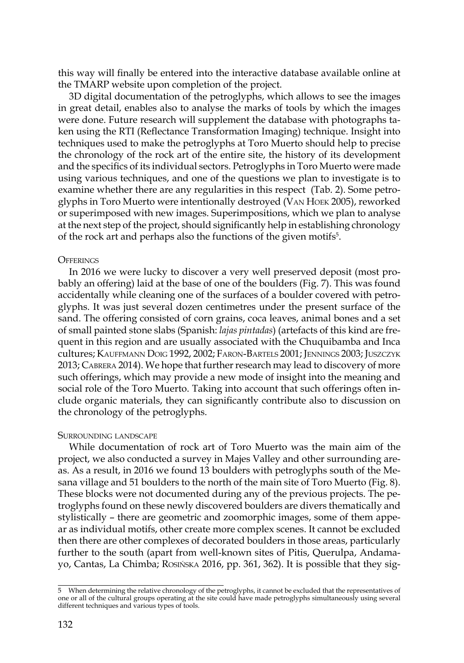this way will finally be entered into the interactive database available online at the TMARP website upon completion of the project.

3D digital documentation of the petroglyphs, which allows to see the images in great detail, enables also to analyse the marks of tools by which the images were done. Future research will supplement the database with photographs taken using the RTI (Reflectance Transformation Imaging) technique. Insight into techniques used to make the petroglyphs at Toro Muerto should help to precise the chronology of the rock art of the entire site, the history of its development and the specifics of its individual sectors. Petroglyphs in Toro Muerto were made using various techniques, and one of the questions we plan to investigate is to examine whether there are any regularities in this respect (Tab. 2). Some petroglyphs in Toro Muerto were intentionally destroyed (Van Hoek 2005), reworked or superimposed with new images. Superimpositions, which we plan to analyse at the next step of the project, should significantly help in establishing chronology of the rock art and perhaps also the functions of the given motifs<sup>5</sup>.

# **OFFERINGS**

In 2016 we were lucky to discover a very well preserved deposit (most probably an offering) laid at the base of one of the boulders (Fig. 7). This was found accidentally while cleaning one of the surfaces of a boulder covered with petroglyphs. It was just several dozen centimetres under the present surface of the sand. The offering consisted of corn grains, coca leaves, animal bones and a set of small painted stone slabs (Spanish: *lajas pintadas*) (artefacts of this kind are frequent in this region and are usually associated with the Chuquibamba and Inca cultures; Kauffmann Doig 1992, 2002; Faron-Bartels 2001; Jennings 2003; Juszczyk 2013; Cabrera 2014). We hope that further research may lead to discovery of more such offerings, which may provide a new mode of insight into the meaning and social role of the Toro Muerto. Taking into account that such offerings often include organic materials, they can significantly contribute also to discussion on the chronology of the petroglyphs.

## SURROUNDING LANDSCAPE

While documentation of rock art of Toro Muerto was the main aim of the project, we also conducted a survey in Majes Valley and other surrounding areas. As a result, in 2016 we found 13 boulders with petroglyphs south of the Mesana village and 51 boulders to the north of the main site of Toro Muerto (Fig. 8). These blocks were not documented during any of the previous projects. The petroglyphs found on these newly discovered boulders are divers thematically and stylistically – there are geometric and zoomorphic images, some of them appear as individual motifs, other create more complex scenes. It cannot be excluded then there are other complexes of decorated boulders in those areas, particularly further to the south (apart from well-known sites of Pitis, Querulpa, Andamayo, Cantas, La Chimba; Rosińska 2016, pp. 361, 362). It is possible that they sig-

<sup>5</sup> When determining the relative chronology of the petroglyphs, it cannot be excluded that the representatives of one or all of the cultural groups operating at the site could have made petroglyphs simultaneously using several different techniques and various types of tools.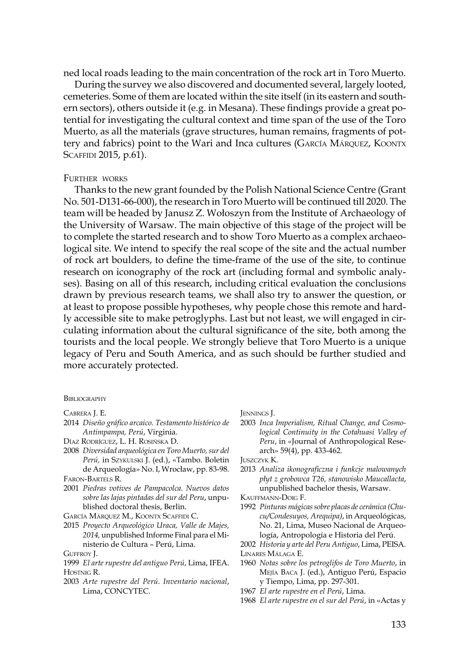ned local roads leading to the main concentration of the rock art in Toro Muerto.

During the survey we also discovered and documented several, largely looted, cemeteries. Some of them are located within the site itself (in its eastern and southern sectors), others outside it (e.g. in Mesana). These findings provide a great potential for investigating the cultural context and time span of the use of the Toro Muerto, as all the materials (grave structures, human remains, fragments of pottery and fabrics) point to the Wari and Inca cultures (GARCÍA MÁRQUEZ, KOONTX SCAFFIDI 2015, p.61).

### Further works

Thanks to the new grant founded by the Polish National Science Centre (Grant No. 501-D131-66-000), the research in Toro Muerto will be continued till 2020. The team will be headed by Janusz Z. Wołoszyn from the Institute of Archaeology of the University of Warsaw. The main objective of this stage of the project will be to complete the started research and to show Toro Muerto as a complex archaeological site. We intend to specify the real scope of the site and the actual number of rock art boulders, to define the time-frame of the use of the site, to continue research on iconography of the rock art (including formal and symbolic analyses). Basing on all of this research, including critical evaluation the conclusions drawn by previous research teams, we shall also try to answer the question, or at least to propose possible hypotheses, why people chose this remote and hardly accessible site to make petroglyphs. Last but not least, we will engaged in circulating information about the cultural significance of the site, both among the tourists and the local people. We strongly believe that Toro Muerto is a unique legacy of Peru and South America, and as such should be further studied and more accurately protected.

#### **BIBLIOGRAPHY**

## 2014 *Diseño gráfico arcaico. Testamento histórico de Antimpampa, Perú*, Virginia.

- Díaz Rodríguez, L. H. Rosińska D.
- 2008 *Diversidad arqueológica en Toro Muerto, sur del Perú,* in Szykulski J. (ed.), «Tambo. Boletin de Arqueología» No. I, Wrocław, pp. 83-98. Faron-Bartels R.
- 2001 *Piedras votives de Pampacolca. Nuevos datos sobre las lajas pintadas del sur del Peru*, unpublished doctoral thesis, Berlin.
- García Márquez M., Koontx Scaffidi C.
- 2015 *Proyecto Arqueológico Uraca, Valle de Majes, 2014,* unpublished Informe Final para el Ministerio de Cultura – Perú, Lima.
- GUFFROY J.
- 1999 *El arte rupestre del antiguo Perú*, Lima, IFEA. Hostnig R.
- 2003 *Arte rupestre del Perú. Inventario nacional*, Lima, CONCYTEC.

Jennings J.

2003 *Inca Imperialism, Ritual Change, and Cosmological Continuity in the Cotahuasi Valley of Peru*, in «Journal of Anthropological Research» 59(4), pp. 433-462.

Juszczyk K.

- 2013 *Analiza ikonograficzna i funkcje malowanych płyt z grobowca T26, stanowisko Maucallacta*, unpublished bachelor thesis, Warsaw.
- Kauffmann-Doig F.

1992 *Pinturas mágicas sobre placas de cerámica (Chucu/Condesuyos, Arequipa)*, in Arqueológicas, No. 21, Lima, Museo Nacional de Arqueología, Antropología e Historia del Perú.

2002 *Historia y arte del Peru Antiguo*, Lima, PEISA. Linares Málaga E.

- 1960 *Notas sobre los petroglifos de Toro Muerto*, in Mejía Baca J. (ed.), Antiguo Perú, Espacio y Tiempo, Lima, pp. 297-301.
- 1967 *El arte rupestre en el Perú*, Lima.
- 1968 *El arte rupestre en el sur del Perú*, in «Actas y

Cabrera J. E.